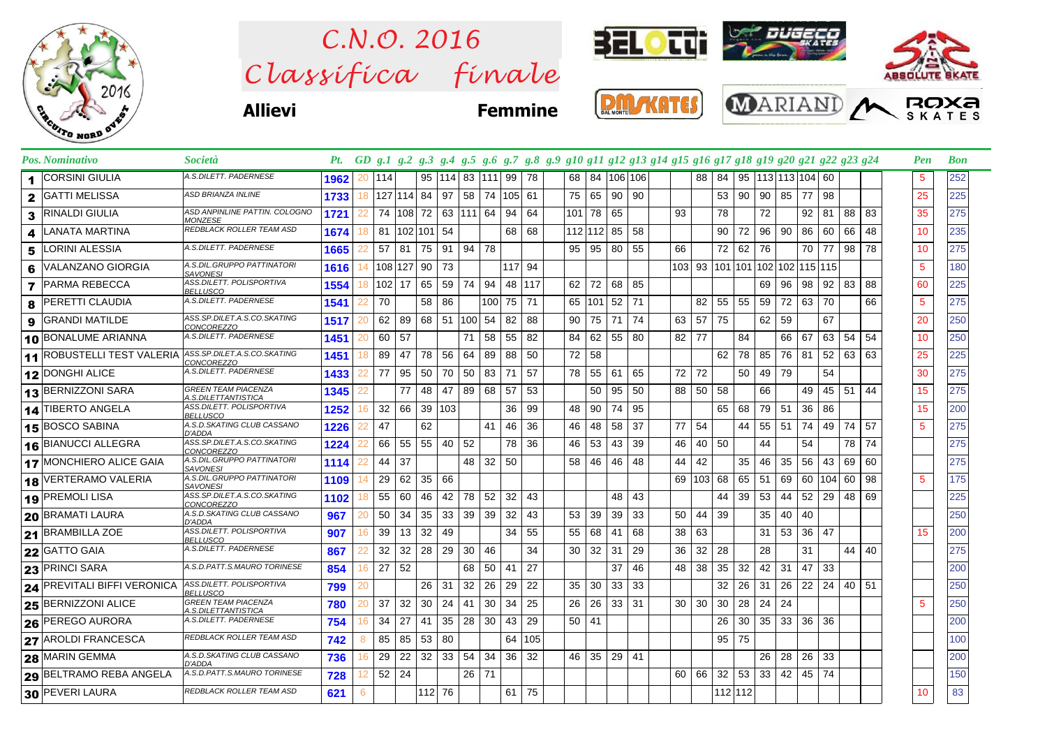

 $\emph{Classifica}$  finale *C.N.O. 2016*



**Allievi Femmine**

| <b>MONTE</b> |  |  |  |
|--------------|--|--|--|
|              |  |  |  |



|                | Pos. Nominativo                   | Società                                           |      |            |            |            |                          |           |     |                 |          | Pt. GD g.1 g.2 g.3 g.4 g.5 g.6 g.7 g.8 g.9 g10 g11 g12 g13 g14 g15 g16 g17 g18 g19 g20 g21 g22 g23 g24 |         |    |            |    |           |     |         |    |     |                                |               |              |     | Pen | <b>Bon</b> |
|----------------|-----------------------------------|---------------------------------------------------|------|------------|------------|------------|--------------------------|-----------|-----|-----------------|----------|--------------------------------------------------------------------------------------------------------|---------|----|------------|----|-----------|-----|---------|----|-----|--------------------------------|---------------|--------------|-----|-----|------------|
| 1              | <b>CORSINI GIULIA</b>             | A.S.DILETT. PADERNESE                             | 1962 | 20<br> 114 |            |            | 95   114   83   111   99 |           |     |                 | 78       | 68 l                                                                                                   |         |    | 84 106 106 |    | 88        | 84  |         |    |     | 95 113 113 104 60              |               |              |     | 5   | 252        |
| $\mathbf{2}$   | <b>GATTI MELISSA</b>              | <b>ASD BRIANZA INLINE</b>                         | 1733 | 18         | 127 114 84 |            | 97                       | 58        | 74  | $105$ 61        |          | 75                                                                                                     | 65      | 90 | 90         |    |           | 53  | 90      | 90 | 85  | 77                             | 98            |              |     | 25  | 225        |
| 3              | <b>RINALDI GIULIA</b>             | ASD ANPINLINE PATTIN. COLOGNO<br>MONZESE          | 1721 | 22         | 74   108   | 72         |                          | 63 111 64 |     | 94              | 64       | $101$ 78                                                                                               |         | 65 |            | 93 |           | 78  |         | 72 |     | 92                             | 81            | 88           | 83  | 35  | 275        |
| 4              | LANATA MARTINA                    | REDBLACK ROLLER TEAM ASD                          | 1674 | 81<br>18   |            | 102 101 54 |                          |           |     | 68              | 68       |                                                                                                        | 112 112 | 85 | 58         |    |           | 90  | 72      | 96 | 90  | 86                             | 60            | 66           | 48  | 10  | 235        |
| 5              | <b>LORINI ALESSIA</b>             | A.S.DILETT. PADERNESE                             | 1665 | 57         | -81        | 75         | 91 94 78                 |           |     |                 |          | 95                                                                                                     | 95      | 80 | 55         | 66 |           | 72  | 62      | 76 |     | 70                             | 77            | 98           | 78  | 10  | 275        |
| 6              | VALANZANO GIORGIA                 | A.S.DIL.GRUPPO PATTINATORI<br><b>SAVONESI</b>     | 1616 | 14         | 108 127    | $90$   73  |                          |           |     |                 | 117 94   |                                                                                                        |         |    |            |    |           |     |         |    |     | 103 93 101 101 102 102 115 115 |               |              |     | 5   | 180        |
| $\overline{ }$ | <b>PARMA REBECCA</b>              | ASS.DILETT. POLISPORTIVA<br><b>BELLUSCO</b>       | 1554 | 18         | $102$ 17   | 65         | 59                       | 74        | 94  |                 | 48   117 | 62                                                                                                     | 72      | 68 | 85         |    |           |     |         | 69 | 96  | 98                             |               | $92 \mid 83$ | 88  | 60  | 225        |
| 8              | IPERETTI CLAUDIA                  | A.S.DILETT. PADERNESE                             | 1541 | 70         |            | 58         | 86                       |           | 100 | 75              | 71       |                                                                                                        | 65 101  | 52 | 71         |    | 82        | 55  | 55      | 59 | 72  | 63                             | 70            |              | 66  | 5   | 275        |
| 9              | GRANDI MATILDE                    | ASS.SP.DILET.A.S.CO.SKATING<br><b>CONCOREZZO</b>  | 1517 | 62<br>20   | 89         |            | 68 51 100                |           | 54  | 82              | 88       | 90 <sup>1</sup>                                                                                        | 75      | 71 | 74         | 63 | 57        | 75  |         | 62 | 59  |                                | 67            |              |     | 20  | 250        |
|                | 10 BONALUME ARIANNA               | A.S.DILETT. PADERNESE                             | 1451 | 60         | 57         |            |                          | 71        | 58  | 55              | 82       | 84                                                                                                     | 62      | 55 | 80         | 82 | 77        |     | 84      |    | 66  | 67                             | 63            | 54           | 54  | 10  | 250        |
|                | <b>11 ROBUSTELLI TEST VALERIA</b> | ASS.SP.DILET.A.S.CO.SKATING<br>CONCOREZZO         | 1451 | 89<br>18   | 47         | 78         | 56                       | 64        | 89  | 88              | 50       | 72                                                                                                     | 58      |    |            |    |           | 62  | 78      | 85 | 76  | 81                             | 52            | 63           | 63  | 25  | 225        |
|                | 12 DONGHI ALICE                   | A.S.DILETT. PADERNESE                             | 1433 | 77         | 95         | 50         | 70                       | 50        | 83  | 71              | 57       | 78                                                                                                     | 55      | 61 | 65         | 72 | 72        |     | 50      | 49 | 79  |                                | 54            |              |     | 30  | 275        |
|                | 13 BERNIZZONI SARA                | <b>GREEN TEAM PIACENZA</b><br>A.S.DILETTANTISTICA | 1345 |            | 77         | 48         | 47                       | 89        | 68  | 57              | 53       |                                                                                                        | 50      | 95 | 50         | 88 | 50        | 58  |         | 66 |     | 49                             | 45 51         |              | 44  | 15  | 275        |
|                | 14 TIBERTO ANGELA                 | ASS.DILETT. POLISPORTIVA<br><b>BELLUSCO</b>       | 1252 | 32         | 66         |            | 39 103                   |           |     | 36              | 99       | 48                                                                                                     | 90      | 74 | 95         |    |           | 65  | 68      | 79 | 51  | 36                             | 86            |              |     | 15  | 200        |
|                | 15 BOSCO SABINA                   | A.S.D.SKATING CLUB CASSANO<br>D'ADDA              | 1226 | 47         |            | 62         |                          |           | 41  | 46              | 36       | 46                                                                                                     | 48      | 58 | 37         | 77 | 54        |     | 44      | 55 | -51 | 74                             | 49 74         |              | -57 | 5   | 275        |
|                | 16 BIANUCCI ALLEGRA               | ASS.SP.DILET.A.S.CO.SKATING<br><b>CONCOREZZO</b>  | 1224 | 66         | 55         | 55         | 40 52                    |           |     | 78              | -36      | 46                                                                                                     | 53      | 43 | 39         | 46 | 40        | -50 |         | 44 |     | 54                             |               | 78           | 74  |     | 275        |
|                | 17 MONCHIERO ALICE GAIA           | A.S.DIL.GRUPPO PATTINATORI<br><b>SAVONESI</b>     | 1114 | 44         | -37        |            |                          | 48        | 32  | 50              |          | 58                                                                                                     | 46      | 46 | 48         | 44 | 42        |     | 35      | 46 | 35  | 56                             | 43            | -69 I        | 60  |     | 275        |
|                | 18 VERTERAMO VALERIA              | A.S.DIL.GRUPPO PATTINATORI<br><b>SAVONESI</b>     | 1109 | 29<br>14   | 62         | 35 66      |                          |           |     |                 |          |                                                                                                        |         |    |            |    | 69 103 68 |     | 65      | 51 | 69  |                                | 60   104   60 |              | 98  | 5   | 175        |
|                | 19 PREMOLI LISA                   | ASS.SP.DILET.A.S.CO.SKATING<br>CONCOREZZO         | 1102 | 55<br>18   | 60         | 46         | 42                       | 78        | 52  | 32              | 43       |                                                                                                        |         | 48 | 43         |    |           | 44  | 39      | 53 | 44  | 52                             | 29            | 48           | 69  |     | 225        |
|                | 20 BRAMATI LAURA                  | A.S.D.SKATING CLUB CASSANO<br>D'ADDA              | 967  | 50<br>20   | 34         | 35         | 33 <sup>1</sup>          | 39        | 39  | 32              | 43       | 53                                                                                                     | 39      | 39 | 33         | 50 | 44        | 39  |         | 35 | 40  | 40                             |               |              |     |     | 250        |
|                | 21 BRAMBILLA ZOE                  | ASS.DILETT. POLISPORTIVA<br><b>BELLUSCO</b>       | 907  | 39<br>16   | 13         | 32         | 49                       |           |     | 34 <sup>1</sup> | 55       | 55                                                                                                     | 68      | 41 | 68         | 38 | 63        |     |         | 31 | 53  | 36                             | 47            |              |     | 15  | 200        |
|                | 22 GATTO GAIA                     | A.S.DILETT. PADERNESE                             | 867  | 32<br>22   | 32         | 28 29      |                          | 30        | 46  |                 | 34       | 30                                                                                                     | 32      | 31 | 29         | 36 | 32        | 28  |         | 28 |     | 31                             |               | 44           | 40  |     | 275        |
|                | 23 PRINCI SARA                    | A.S.D.PATT.S.MAURO TORINESE                       | 854  | 27<br>16   | 52         |            |                          | 68        | 50  | -41             | 27       |                                                                                                        |         | 37 | 46         | 48 | 38        | 35  | 32      | 42 | -31 | 47                             | 33            |              |     |     | 200        |
|                | 24 PREVITALI BIFFI VERONICA       | ASS.DILETT. POLISPORTIVA<br>BELLUSCO              | 799  | 20         |            | 26         | 31                       | 32        | 26  | 29              | 22       | 35                                                                                                     | 30      | 33 | 33         |    |           | 32  | 26      | 31 | 26  | 22                             | 24            | 40           | 51  |     | 250        |
|                | 25 BERNIZZONI ALICE               | <b>GREEN TEAM PIACENZA</b><br>A.S.DILETTANTISTICA | 780  | 37<br>20   | 32         | 30         | 24                       | -41       | 30  | 34              | 25       | 26                                                                                                     | 26      | 33 | 31         | 30 | 30        | 30  | 28      | 24 | 24  |                                |               |              |     | 5   | 250        |
|                | 26 PEREGO AURORA                  | A.S.DILETT. PADERNESE                             | 754  | 34<br>16   | 27         | 41         | 35                       | -28       | 30  | 43              | 29       | 50 41                                                                                                  |         |    |            |    |           | 26  | 30      | 35 | 33  | 36                             | 36            |              |     |     | 200        |
|                | 27 AROLDI FRANCESCA               | REDBLACK ROLLER TEAM ASD                          | 742  | 85<br>8    | 85         | 53         | -80                      |           |     | 64              | 105      |                                                                                                        |         |    |            |    |           | 95  | 75      |    |     |                                |               |              |     |     | 100        |
|                | 28 MARIN GEMMA                    | A.S.D.SKATING CLUB CASSANO<br>D'ADDA              | 736  | 29         | 22         | 32         | 33                       | 54        | 34  | 36              | 32       | 46 <sup>1</sup>                                                                                        | 35      | 29 | 41         |    |           |     |         | 26 | 28  | 26                             | 33            |              |     |     | 200        |
|                | 29 BELTRAMO REBA ANGELA           | A.S.D.PATT.S.MAURO TORINESE                       | 728  | 52<br>12   | 24         |            |                          | 26        | 71  |                 |          |                                                                                                        |         |    |            | 60 | 66        | 32  | 53      | 33 | 42  | 45                             | 74            |              |     |     | 150        |
|                | 30 PEVERI LAURA                   | REDBLACK ROLLER TEAM ASD                          | 621  | 6          |            | $112$ 76   |                          |           |     |                 | 61 75    |                                                                                                        |         |    |            |    |           |     | 112 112 |    |     |                                |               |              |     | 10  | 83         |